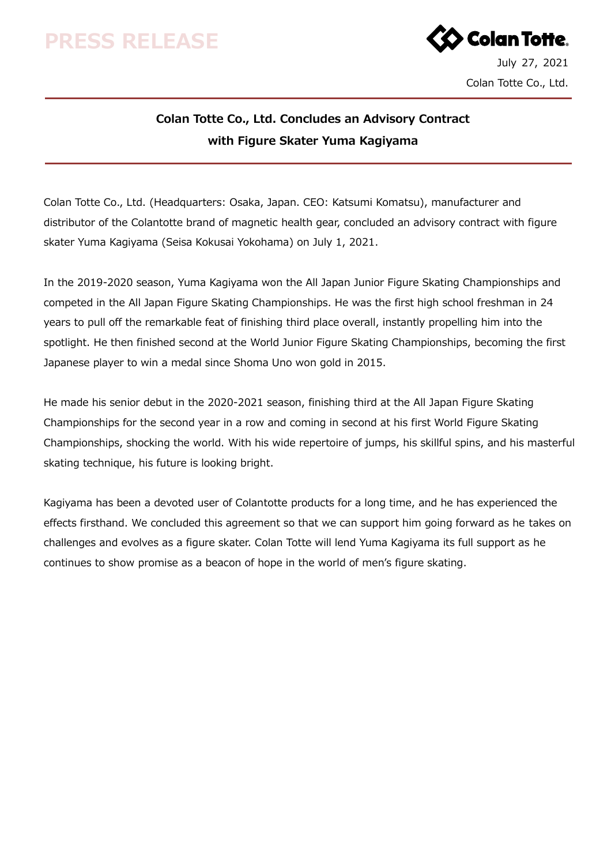## **PRESS RELEASE**



## **Colan Totte Co., Ltd. Concludes an Advisory Contract with Figure Skater Yuma Kagiyama**

Colan Totte Co., Ltd. (Headquarters: Osaka, Japan. CEO: Katsumi Komatsu), manufacturer and distributor of the Colantotte brand of magnetic health gear, concluded an advisory contract with figure skater Yuma Kagiyama (Seisa Kokusai Yokohama) on July 1, 2021.

In the 2019-2020 season, Yuma Kagiyama won the All Japan Junior Figure Skating Championships and competed in the All Japan Figure Skating Championships. He was the first high school freshman in 24 years to pull off the remarkable feat of finishing third place overall, instantly propelling him into the spotlight. He then finished second at the World Junior Figure Skating Championships, becoming the first Japanese player to win a medal since Shoma Uno won gold in 2015.

He made his senior debut in the 2020-2021 season, finishing third at the All Japan Figure Skating Championships for the second year in a row and coming in second at his first World Figure Skating Championships, shocking the world. With his wide repertoire of jumps, his skillful spins, and his masterful skating technique, his future is looking bright.

Kagiyama has been a devoted user of Colantotte products for a long time, and he has experienced the effects firsthand. We concluded this agreement so that we can support him going forward as he takes on challenges and evolves as a figure skater. Colan Totte will lend Yuma Kagiyama its full support as he continues to show promise as a beacon of hope in the world of men's figure skating.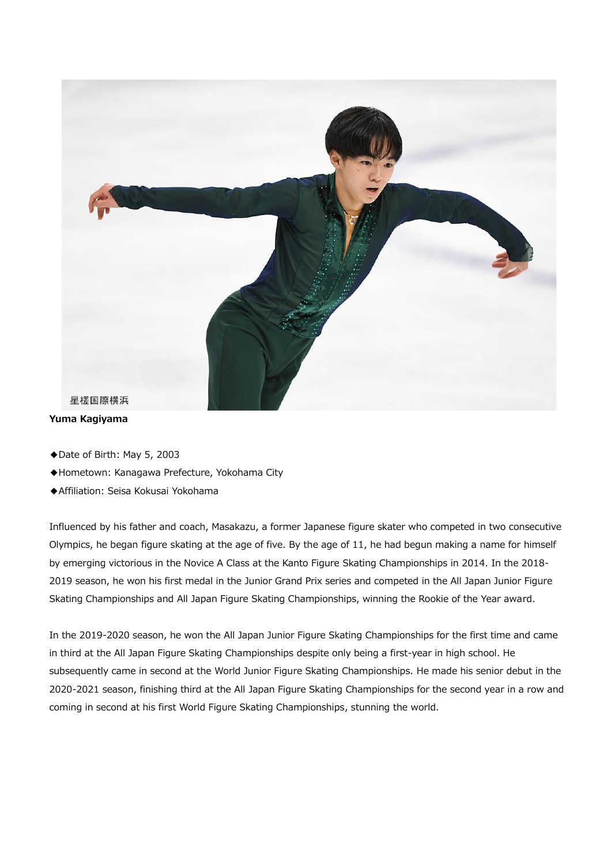

#### **Yuma Kagiyama**

- ◆Date of Birth: May 5, 2003
- ◆Hometown: Kanagawa Prefecture, Yokohama City
- ◆Affiliation: Seisa Kokusai Yokohama

Influenced by his father and coach, Masakazu, a former Japanese figure skater who competed in two consecutive Olympics, he began figure skating at the age of five. By the age of 11, he had begun making a name for himself by emerging victorious in the Novice A Class at the Kanto Figure Skating Championships in 2014. In the 2018- 2019 season, he won his first medal in the Junior Grand Prix series and competed in the All Japan Junior Figure Skating Championships and All Japan Figure Skating Championships, winning the Rookie of the Year award.

In the 2019-2020 season, he won the All Japan Junior Figure Skating Championships for the first time and came in third at the All Japan Figure Skating Championships despite only being a first-year in high school. He subsequently came in second at the World Junior Figure Skating Championships. He made his senior debut in the 2020-2021 season, finishing third at the All Japan Figure Skating Championships for the second year in a row and coming in second at his first World Figure Skating Championships, stunning the world.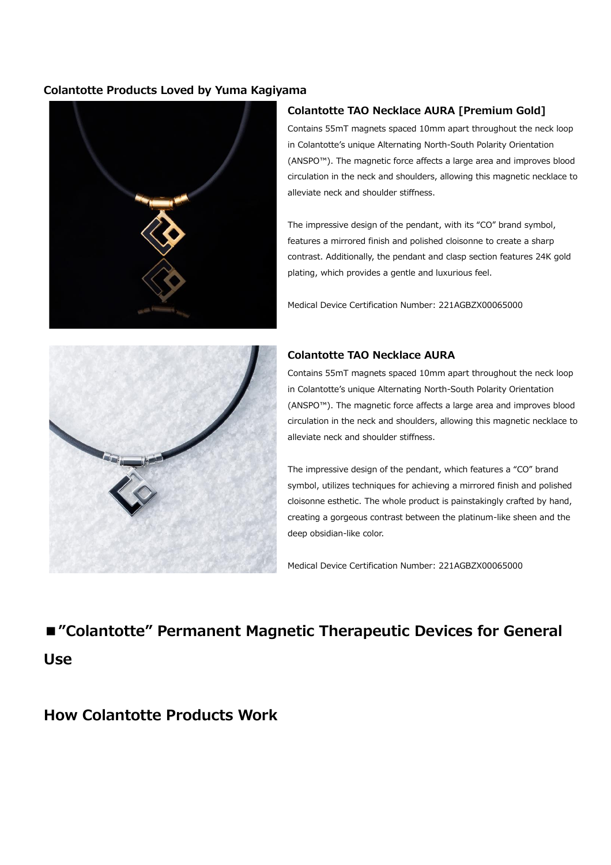### **Colantotte Products Loved by Yuma Kagiyama**



### **Colantotte TAO Necklace AURA [Premium Gold]**

Contains 55mT magnets spaced 10mm apart throughout the neck loop in Colantotte's unique Alternating North-South Polarity Orientation (ANSPO™). The magnetic force affects a large area and improves blood circulation in the neck and shoulders, allowing this magnetic necklace to alleviate neck and shoulder stiffness.

The impressive design of the pendant, with its "CO" brand symbol, features a mirrored finish and polished cloisonne to create a sharp contrast. Additionally, the pendant and clasp section features 24K gold plating, which provides a gentle and luxurious feel.

Medical Device Certification Number: 221AGBZX00065000



### **Colantotte TAO Necklace AURA**

Contains 55mT magnets spaced 10mm apart throughout the neck loop in Colantotte's unique Alternating North-South Polarity Orientation (ANSPO™). The magnetic force affects a large area and improves blood circulation in the neck and shoulders, allowing this magnetic necklace to alleviate neck and shoulder stiffness.

The impressive design of the pendant, which features a "CO" brand symbol, utilizes techniques for achieving a mirrored finish and polished cloisonne esthetic. The whole product is painstakingly crafted by hand, creating a gorgeous contrast between the platinum-like sheen and the deep obsidian-like color.

Medical Device Certification Number: 221AGBZX00065000

# **■"Colantotte" Permanent Magnetic Therapeutic Devices for General Use**

## **How Colantotte Products Work**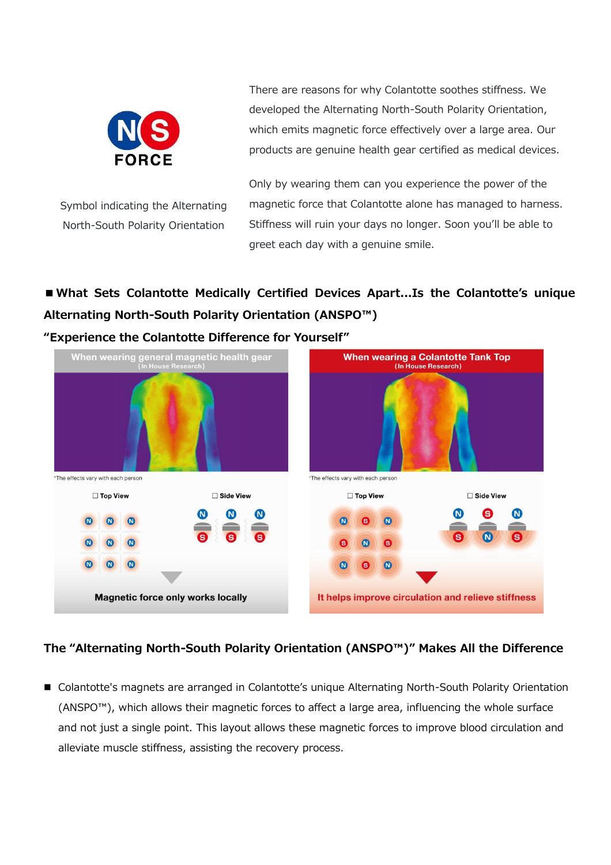

Symbol indicating the Alternating North-South Polarity Orientation

There are reasons for why Colantotte soothes stiffness. We developed the Alternating North-South Polarity Orientation, which emits magnetic force effectively over a large area. Our products are genuine health gear certified as medical devices.

Only by wearing them can you experience the power of the magnetic force that Colantotte alone has managed to harness. Stiffness will ruin your days no longer. Soon you'll be able to greet each day with a genuine smile.

## **■What Sets Colantotte Medically Certified Devices Apart...Is the Colantotte's unique Alternating North-South Polarity Orientation (ANSPO™)**



## **The "Alternating North-South Polarity Orientation (ANSPO™)" Makes All the Difference**

■ Colantotte's magnets are arranged in Colantotte's unique Alternating North-South Polarity Orientation (ANSPO™), which allows their magnetic forces to affect a large area, influencing the whole surface and not just a single point. This layout allows these magnetic forces to improve blood circulation and alleviate muscle stiffness, assisting the recovery process.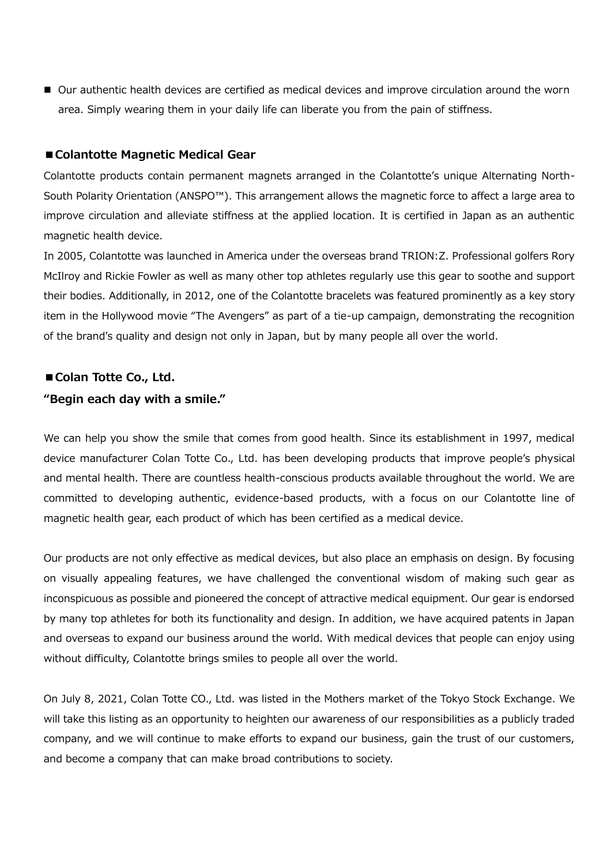■ Our authentic health devices are certified as medical devices and improve circulation around the worn area. Simply wearing them in your daily life can liberate you from the pain of stiffness.

#### **■Colantotte Magnetic Medical Gear**

Colantotte products contain permanent magnets arranged in the Colantotte's unique Alternating North-South Polarity Orientation (ANSPO™). This arrangement allows the magnetic force to affect a large area to improve circulation and alleviate stiffness at the applied location. It is certified in Japan as an authentic magnetic health device.

In 2005, Colantotte was launched in America under the overseas brand TRION:Z. Professional golfers Rory McIlroy and Rickie Fowler as well as many other top athletes regularly use this gear to soothe and support their bodies. Additionally, in 2012, one of the Colantotte bracelets was featured prominently as a key story item in the Hollywood movie "The Avengers" as part of a tie-up campaign, demonstrating the recognition of the brand's quality and design not only in Japan, but by many people all over the world.

## ■ Colan Totte Co., Ltd. **"Begin each day with a smile."**

We can help you show the smile that comes from good health. Since its establishment in 1997, medical device manufacturer Colan Totte Co., Ltd. has been developing products that improve people's physical and mental health. There are countless health-conscious products available throughout the world. We are committed to developing authentic, evidence-based products, with a focus on our Colantotte line of magnetic health gear, each product of which has been certified as a medical device.

Our products are not only effective as medical devices, but also place an emphasis on design. By focusing on visually appealing features, we have challenged the conventional wisdom of making such gear as inconspicuous as possible and pioneered the concept of attractive medical equipment. Our gear is endorsed by many top athletes for both its functionality and design. In addition, we have acquired patents in Japan and overseas to expand our business around the world. With medical devices that people can enjoy using without difficulty, Colantotte brings smiles to people all over the world.

On July 8, 2021, Colan Totte CO., Ltd. was listed in the Mothers market of the Tokyo Stock Exchange. We will take this listing as an opportunity to heighten our awareness of our responsibilities as a publicly traded company, and we will continue to make efforts to expand our business, gain the trust of our customers, and become a company that can make broad contributions to society.